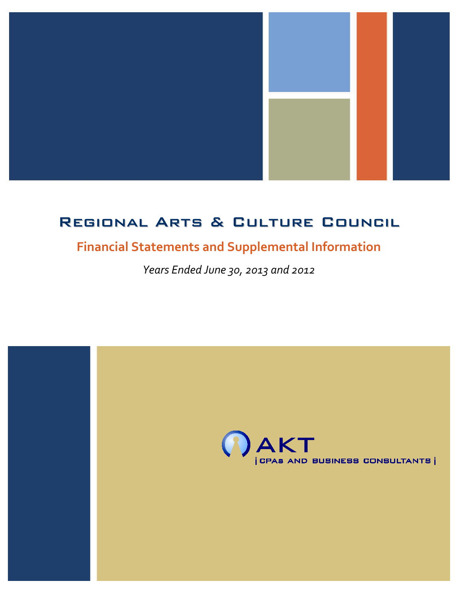

# Regional Arts & Culture Council

# **Financial Statements and Supplemental Information**

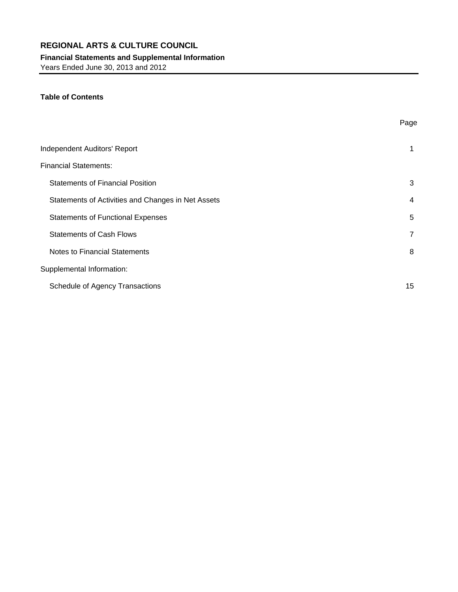# **Financial Statements and Supplemental Information**

Years Ended June 30, 2013 and 2012

#### **Table of Contents**

|                                                    | Page |
|----------------------------------------------------|------|
| Independent Auditors' Report                       |      |
| <b>Financial Statements:</b>                       |      |
| <b>Statements of Financial Position</b>            | 3    |
| Statements of Activities and Changes in Net Assets | 4    |
| <b>Statements of Functional Expenses</b>           | 5    |
| <b>Statements of Cash Flows</b>                    | 7    |
| <b>Notes to Financial Statements</b>               | 8    |
| Supplemental Information:                          |      |
| Schedule of Agency Transactions                    | 15   |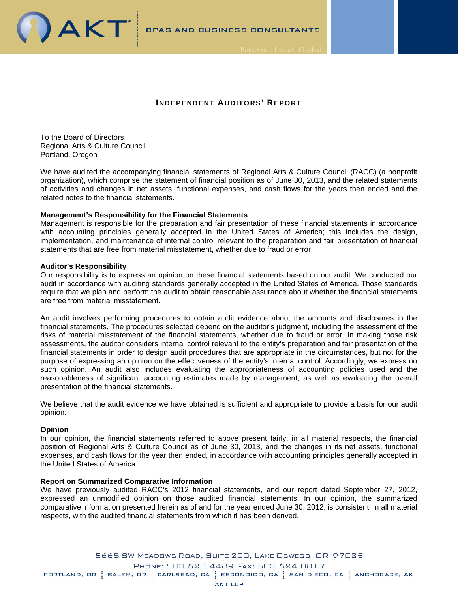

### **INDEPENDENT AUDITORS' REPORT**

To the Board of Directors Regional Arts & Culture Council Portland, Oregon

**DAKT** 

We have audited the accompanying financial statements of Regional Arts & Culture Council (RACC) (a nonprofit organization), which comprise the statement of financial position as of June 30, 2013, and the related statements of activities and changes in net assets, functional expenses, and cash flows for the years then ended and the related notes to the financial statements.

#### **Management's Responsibility for the Financial Statements**

Management is responsible for the preparation and fair presentation of these financial statements in accordance with accounting principles generally accepted in the United States of America; this includes the design, implementation, and maintenance of internal control relevant to the preparation and fair presentation of financial statements that are free from material misstatement, whether due to fraud or error.

#### **Auditor's Responsibility**

Our responsibility is to express an opinion on these financial statements based on our audit. We conducted our audit in accordance with auditing standards generally accepted in the United States of America. Those standards require that we plan and perform the audit to obtain reasonable assurance about whether the financial statements are free from material misstatement.

An audit involves performing procedures to obtain audit evidence about the amounts and disclosures in the financial statements. The procedures selected depend on the auditor's judgment, including the assessment of the risks of material misstatement of the financial statements, whether due to fraud or error. In making those risk assessments, the auditor considers internal control relevant to the entity's preparation and fair presentation of the financial statements in order to design audit procedures that are appropriate in the circumstances, but not for the purpose of expressing an opinion on the effectiveness of the entity's internal control. Accordingly, we express no such opinion. An audit also includes evaluating the appropriateness of accounting policies used and the reasonableness of significant accounting estimates made by management, as well as evaluating the overall presentation of the financial statements.

We believe that the audit evidence we have obtained is sufficient and appropriate to provide a basis for our audit opinion.

#### **Opinion**

In our opinion, the financial statements referred to above present fairly, in all material respects, the financial position of Regional Arts & Culture Council as of June 30, 2013, and the changes in its net assets, functional expenses, and cash flows for the year then ended, in accordance with accounting principles generally accepted in the United States of America.

#### **Report on Summarized Comparative Information**

We have previously audited RACC's 2012 financial statements, and our report dated September 27, 2012, expressed an unmodified opinion on those audited financial statements. In our opinion, the summarized comparative information presented herein as of and for the year ended June 30, 2012, is consistent, in all material respects, with the audited financial statements from which it has been derived.

5665 SW MEADOWS ROAD, SUITE 200, LAKE OSWEGO, OR 97035

PHONE: 503.620.4489 FAX: 503.624.0817

PORTLAND, OR | SALEM, OR | CARLSBAD, CA | ESCONDIDO, CA | SAN DIEGO, CA | ANCHORAGE, AK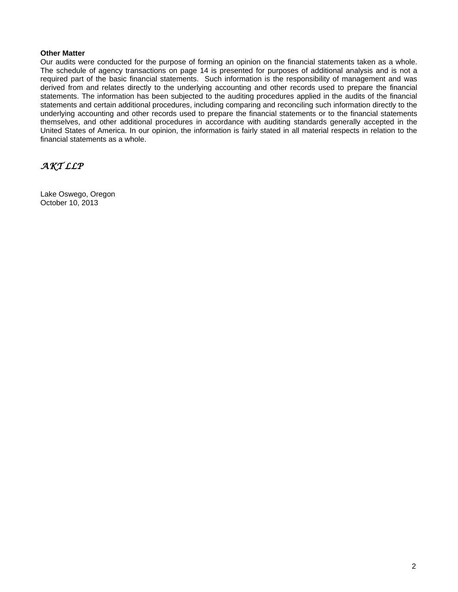#### **Other Matter**

Our audits were conducted for the purpose of forming an opinion on the financial statements taken as a whole. The schedule of agency transactions on page 14 is presented for purposes of additional analysis and is not a required part of the basic financial statements. Such information is the responsibility of management and was derived from and relates directly to the underlying accounting and other records used to prepare the financial statements. The information has been subjected to the auditing procedures applied in the audits of the financial statements and certain additional procedures, including comparing and reconciling such information directly to the underlying accounting and other records used to prepare the financial statements or to the financial statements themselves, and other additional procedures in accordance with auditing standards generally accepted in the United States of America. In our opinion, the information is fairly stated in all material respects in relation to the financial statements as a whole.

# *AKT LLP*

Lake Oswego, Oregon October 10, 2013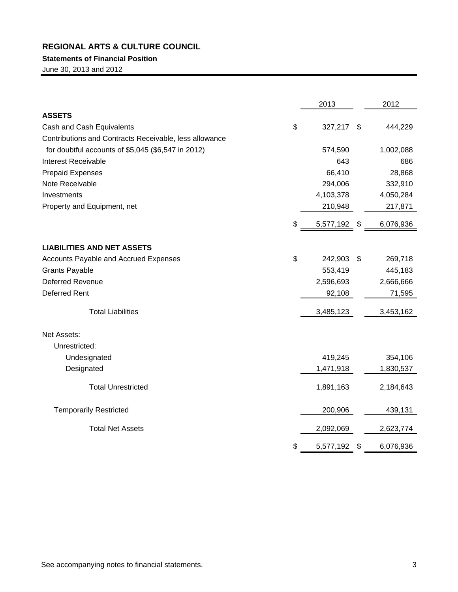# **Statements of Financial Position**

June 30, 2013 and 2012

|                                                        | 2013                 | 2012            |
|--------------------------------------------------------|----------------------|-----------------|
| <b>ASSETS</b>                                          |                      |                 |
| Cash and Cash Equivalents                              | \$<br>327,217        | \$<br>444,229   |
| Contributions and Contracts Receivable, less allowance |                      |                 |
| for doubtful accounts of \$5,045 (\$6,547 in 2012)     | 574,590              | 1,002,088       |
| <b>Interest Receivable</b>                             | 643                  | 686             |
| <b>Prepaid Expenses</b>                                | 66,410               | 28,868          |
| Note Receivable                                        | 294,006              | 332,910         |
| Investments                                            | 4,103,378            | 4,050,284       |
| Property and Equipment, net                            | 210,948              | 217,871         |
|                                                        | \$<br>$5,577,192$ \$ | 6,076,936       |
| <b>LIABILITIES AND NET ASSETS</b>                      |                      |                 |
| Accounts Payable and Accrued Expenses                  | \$<br>242,903        | \$<br>269,718   |
| <b>Grants Payable</b>                                  | 553,419              | 445,183         |
| Deferred Revenue                                       | 2,596,693            | 2,666,666       |
| Deferred Rent                                          | 92,108               | 71,595          |
|                                                        |                      |                 |
| <b>Total Liabilities</b>                               | 3,485,123            | 3,453,162       |
| Net Assets:                                            |                      |                 |
| Unrestricted:                                          |                      |                 |
| Undesignated                                           | 419,245              | 354,106         |
| Designated                                             | 1,471,918            | 1,830,537       |
| <b>Total Unrestricted</b>                              | 1,891,163            | 2,184,643       |
| <b>Temporarily Restricted</b>                          | 200,906              | 439,131         |
| <b>Total Net Assets</b>                                | 2,092,069            | 2,623,774       |
|                                                        | \$<br>5,577,192      | \$<br>6,076,936 |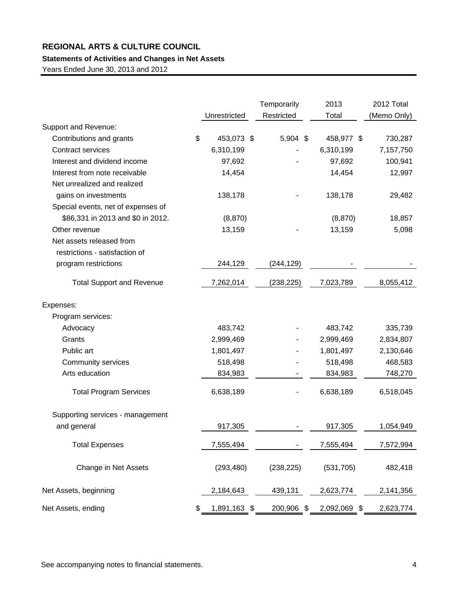# **Statements of Activities and Changes in Net Assets**

|                                    | Unrestricted       | Temporarily<br>Restricted | 2013<br>Total | 2012 Total<br>(Memo Only) |
|------------------------------------|--------------------|---------------------------|---------------|---------------------------|
| Support and Revenue:               |                    |                           |               |                           |
| Contributions and grants           | \$<br>453,073 \$   | 5,904 \$                  | 458,977 \$    | 730,287                   |
| <b>Contract services</b>           | 6,310,199          |                           | 6,310,199     | 7,157,750                 |
| Interest and dividend income       | 97,692             |                           | 97,692        | 100,941                   |
| Interest from note receivable      | 14,454             |                           | 14,454        | 12,997                    |
| Net unrealized and realized        |                    |                           |               |                           |
| gains on investments               | 138,178            |                           | 138,178       | 29,482                    |
| Special events, net of expenses of |                    |                           |               |                           |
| \$86,331 in 2013 and \$0 in 2012.  | (8,870)            |                           | (8,870)       | 18,857                    |
| Other revenue                      | 13,159             |                           | 13,159        | 5,098                     |
| Net assets released from           |                    |                           |               |                           |
| restrictions - satisfaction of     |                    |                           |               |                           |
| program restrictions               | 244,129            | (244, 129)                |               |                           |
| <b>Total Support and Revenue</b>   | 7,262,014          | (238, 225)                | 7,023,789     | 8,055,412                 |
| Expenses:                          |                    |                           |               |                           |
| Program services:                  |                    |                           |               |                           |
| Advocacy                           | 483,742            |                           | 483,742       | 335,739                   |
| Grants                             | 2,999,469          |                           | 2,999,469     | 2,834,807                 |
| Public art                         | 1,801,497          |                           | 1,801,497     | 2,130,646                 |
| <b>Community services</b>          | 518,498            |                           | 518,498       | 468,583                   |
| Arts education                     | 834,983            |                           | 834,983       | 748,270                   |
| <b>Total Program Services</b>      | 6,638,189          |                           | 6,638,189     | 6,518,045                 |
| Supporting services - management   |                    |                           |               |                           |
| and general                        | 917,305            |                           | 917,305       | 1,054,949                 |
| <b>Total Expenses</b>              | 7,555,494          |                           | 7,555,494     | 7,572,994                 |
| Change in Net Assets               | (293, 480)         | (238, 225)                | (531, 705)    | 482,418                   |
| Net Assets, beginning              | 2,184,643          | 439,131                   | 2,623,774     | 2,141,356                 |
| Net Assets, ending                 | \$<br>1,891,163 \$ | 200,906 \$                | 2,092,069 \$  | 2,623,774                 |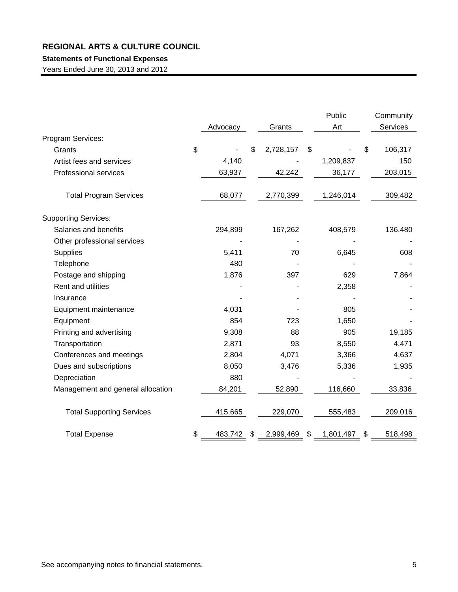### **Statements of Functional Expenses**

|                                   | Advocacy      | Grants          | Public<br>Art   | Community<br>Services |
|-----------------------------------|---------------|-----------------|-----------------|-----------------------|
| Program Services:                 |               |                 |                 |                       |
| Grants                            | \$            | \$<br>2,728,157 | \$              | \$<br>106,317         |
| Artist fees and services          | 4,140         |                 | 1,209,837       | 150                   |
| Professional services             | 63,937        | 42,242          | 36,177          | 203,015               |
| <b>Total Program Services</b>     | 68,077        | 2,770,399       | 1,246,014       | 309,482               |
| <b>Supporting Services:</b>       |               |                 |                 |                       |
| Salaries and benefits             | 294,899       | 167,262         | 408,579         | 136,480               |
| Other professional services       |               |                 |                 |                       |
| Supplies                          | 5,411         | 70              | 6,645           | 608                   |
| Telephone                         | 480           |                 |                 |                       |
| Postage and shipping              | 1,876         | 397             | 629             | 7,864                 |
| Rent and utilities                |               |                 | 2,358           |                       |
| Insurance                         |               |                 |                 |                       |
| Equipment maintenance             | 4,031         |                 | 805             |                       |
| Equipment                         | 854           | 723             | 1,650           |                       |
| Printing and advertising          | 9,308         | 88              | 905             | 19,185                |
| Transportation                    | 2,871         | 93              | 8,550           | 4,471                 |
| Conferences and meetings          | 2,804         | 4,071           | 3,366           | 4,637                 |
| Dues and subscriptions            | 8,050         | 3,476           | 5,336           | 1,935                 |
| Depreciation                      | 880           |                 |                 |                       |
| Management and general allocation | 84,201        | 52,890          | 116,660         | 33,836                |
| <b>Total Supporting Services</b>  | 415,665       | 229,070         | 555,483         | 209,016               |
| <b>Total Expense</b>              | \$<br>483,742 | \$<br>2,999,469 | \$<br>1,801,497 | \$<br>518,498         |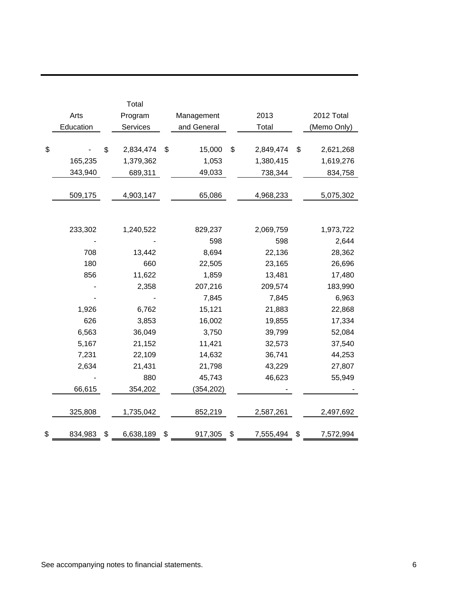|               | Total           |               |                 |                 |
|---------------|-----------------|---------------|-----------------|-----------------|
| Arts          | Program         | Management    | 2013            | 2012 Total      |
| Education     | Services        | and General   | Total           | (Memo Only)     |
|               |                 |               |                 |                 |
| \$            | \$<br>2,834,474 | \$<br>15,000  | \$<br>2,849,474 | \$<br>2,621,268 |
| 165,235       | 1,379,362       | 1,053         | 1,380,415       | 1,619,276       |
| 343,940       | 689,311         | 49,033        | 738,344         | 834,758         |
|               |                 |               |                 |                 |
| 509,175       | 4,903,147       | 65,086        | 4,968,233       | 5,075,302       |
|               |                 |               |                 |                 |
|               |                 |               |                 |                 |
| 233,302       | 1,240,522       | 829,237       | 2,069,759       | 1,973,722       |
|               |                 | 598           | 598             | 2,644           |
| 708           | 13,442          | 8,694         | 22,136          | 28,362          |
| 180           | 660             | 22,505        | 23,165          | 26,696          |
| 856           | 11,622          | 1,859         | 13,481          | 17,480          |
|               | 2,358           | 207,216       | 209,574         | 183,990         |
|               |                 | 7,845         | 7,845           | 6,963           |
| 1,926         | 6,762           | 15,121        | 21,883          | 22,868          |
| 626           | 3,853           | 16,002        | 19,855          | 17,334          |
| 6,563         | 36,049          | 3,750         | 39,799          | 52,084          |
| 5,167         | 21,152          | 11,421        | 32,573          | 37,540          |
| 7,231         | 22,109          | 14,632        | 36,741          | 44,253          |
| 2,634         | 21,431          | 21,798        | 43,229          | 27,807          |
|               | 880             | 45,743        | 46,623          | 55,949          |
| 66,615        | 354,202         | (354, 202)    |                 |                 |
|               |                 |               |                 |                 |
| 325,808       | 1,735,042       | 852,219       | 2,587,261       | 2,497,692       |
| \$<br>834,983 | \$<br>6,638,189 | \$<br>917,305 | \$<br>7,555,494 | \$<br>7,572,994 |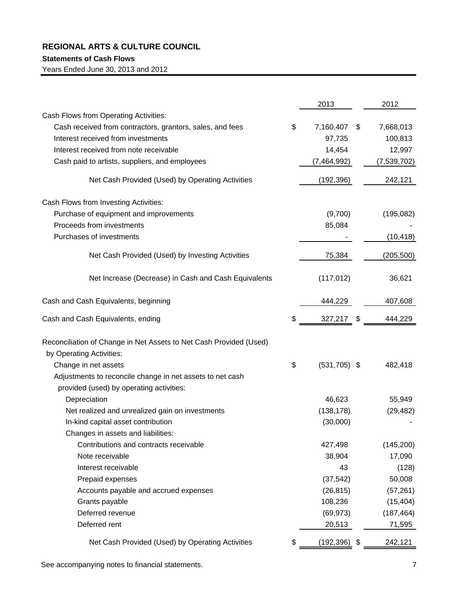## **Statements of Cash Flows**

|                                                                    | 2013                    | 2012            |
|--------------------------------------------------------------------|-------------------------|-----------------|
| Cash Flows from Operating Activities:                              |                         |                 |
| Cash received from contractors, grantors, sales, and fees          | \$<br>7,160,407         | \$<br>7,668,013 |
| Interest received from investments                                 | 97,735                  | 100,813         |
| Interest received from note receivable                             | 14,454                  | 12,997          |
| Cash paid to artists, suppliers, and employees                     | (7,464,992)             | (7,539,702)     |
| Net Cash Provided (Used) by Operating Activities                   | (192, 396)              | 242,121         |
| Cash Flows from Investing Activities:                              |                         |                 |
| Purchase of equipment and improvements                             | (9,700)                 | (195,082)       |
| Proceeds from investments                                          | 85,084                  |                 |
| Purchases of investments                                           |                         | (10, 418)       |
| Net Cash Provided (Used) by Investing Activities                   | 75,384                  | (205, 500)      |
| Net Increase (Decrease) in Cash and Cash Equivalents               | (117, 012)              | 36,621          |
| Cash and Cash Equivalents, beginning                               | 444,229                 | 407,608         |
| Cash and Cash Equivalents, ending                                  | \$<br>327,217           | \$<br>444,229   |
| Reconciliation of Change in Net Assets to Net Cash Provided (Used) |                         |                 |
| by Operating Activities:                                           |                         |                 |
| Change in net assets                                               | \$<br>$(531,705)$ \$    | 482,418         |
| Adjustments to reconcile change in net assets to net cash          |                         |                 |
| provided (used) by operating activities:                           |                         |                 |
| Depreciation                                                       | 46,623                  | 55,949          |
| Net realized and unrealized gain on investments                    | (138, 178)              | (29, 482)       |
| In-kind capital asset contribution                                 | (30,000)                |                 |
| Changes in assets and liabilities:                                 |                         |                 |
| Contributions and contracts receivable                             | 427,498                 | (145, 200)      |
| Note receivable                                                    | 38,904                  | 17,090          |
| Interest receivable                                                | 43                      | (128)           |
| Prepaid expenses                                                   | (37, 542)               | 50,008          |
| Accounts payable and accrued expenses                              | (26, 815)               | (57, 261)       |
| Grants payable                                                     | 108,236                 | (15, 404)       |
| Deferred revenue                                                   | (69, 973)               | (187, 464)      |
| Deferred rent                                                      | 20,513                  | 71,595          |
| Net Cash Provided (Used) by Operating Activities                   | \$<br>(1 <u>92,396)</u> | \$<br>242,121   |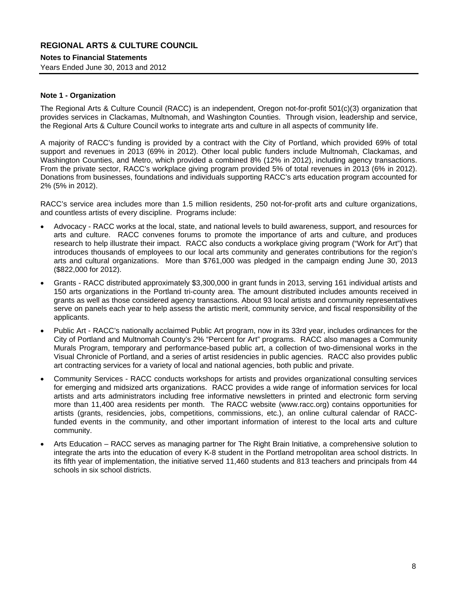#### **Notes to Financial Statements**

Years Ended June 30, 2013 and 2012

#### **Note 1 - Organization**

The Regional Arts & Culture Council (RACC) is an independent, Oregon not-for-profit 501(c)(3) organization that provides services in Clackamas, Multnomah, and Washington Counties. Through vision, leadership and service, the Regional Arts & Culture Council works to integrate arts and culture in all aspects of community life.

A majority of RACC's funding is provided by a contract with the City of Portland, which provided 69% of total support and revenues in 2013 (69% in 2012). Other local public funders include Multnomah, Clackamas, and Washington Counties, and Metro, which provided a combined 8% (12% in 2012), including agency transactions. From the private sector, RACC's workplace giving program provided 5% of total revenues in 2013 (6% in 2012). Donations from businesses, foundations and individuals supporting RACC's arts education program accounted for 2% (5% in 2012).

RACC's service area includes more than 1.5 million residents, 250 not-for-profit arts and culture organizations, and countless artists of every discipline. Programs include:

- Advocacy RACC works at the local, state, and national levels to build awareness, support, and resources for arts and culture. RACC convenes forums to promote the importance of arts and culture, and produces research to help illustrate their impact. RACC also conducts a workplace giving program ("Work for Art") that introduces thousands of employees to our local arts community and generates contributions for the region's arts and cultural organizations. More than \$761,000 was pledged in the campaign ending June 30, 2013 (\$822,000 for 2012).
- Grants RACC distributed approximately \$3,300,000 in grant funds in 2013, serving 161 individual artists and 150 arts organizations in the Portland tri-county area. The amount distributed includes amounts received in grants as well as those considered agency transactions. About 93 local artists and community representatives serve on panels each year to help assess the artistic merit, community service, and fiscal responsibility of the applicants.
- Public Art RACC's nationally acclaimed Public Art program, now in its 33rd year, includes ordinances for the City of Portland and Multnomah County's 2% "Percent for Art" programs. RACC also manages a Community Murals Program, temporary and performance-based public art, a collection of two-dimensional works in the Visual Chronicle of Portland, and a series of artist residencies in public agencies. RACC also provides public art contracting services for a variety of local and national agencies, both public and private.
- Community Services RACC conducts workshops for artists and provides organizational consulting services for emerging and midsized arts organizations. RACC provides a wide range of information services for local artists and arts administrators including free informative newsletters in printed and electronic form serving more than 11,400 area residents per month. The RACC website [\(www.racc.org\)](http://www.racc.org/) contains opportunities for artists (grants, residencies, jobs, competitions, commissions, etc.), an online cultural calendar of RACCfunded events in the community, and other important information of interest to the local arts and culture community.
- Arts Education RACC serves as managing partner for The Right Brain Initiative, a comprehensive solution to integrate the arts into the education of every K-8 student in the Portland metropolitan area school districts. In its fifth year of implementation, the initiative served 11,460 students and 813 teachers and principals from 44 schools in six school districts.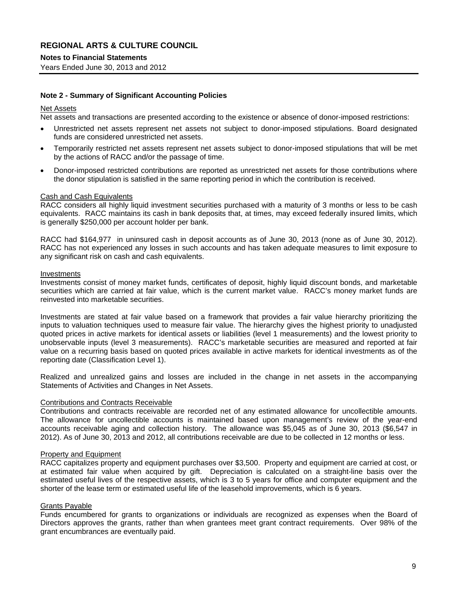Years Ended June 30, 2013 and 2012

#### **Note 2 - Summary of Significant Accounting Policies**

#### Net Assets

Net assets and transactions are presented according to the existence or absence of donor-imposed restrictions:

- Unrestricted net assets represent net assets not subject to donor-imposed stipulations. Board designated funds are considered unrestricted net assets.
- Temporarily restricted net assets represent net assets subject to donor-imposed stipulations that will be met by the actions of RACC and/or the passage of time.
- Donor-imposed restricted contributions are reported as unrestricted net assets for those contributions where the donor stipulation is satisfied in the same reporting period in which the contribution is received.

#### Cash and Cash Equivalents

RACC considers all highly liquid investment securities purchased with a maturity of 3 months or less to be cash equivalents. RACC maintains its cash in bank deposits that, at times, may exceed federally insured limits, which is generally \$250,000 per account holder per bank.

RACC had \$164,977 in uninsured cash in deposit accounts as of June 30, 2013 (none as of June 30, 2012). RACC has not experienced any losses in such accounts and has taken adequate measures to limit exposure to any significant risk on cash and cash equivalents.

#### Investments

Investments consist of money market funds, certificates of deposit, highly liquid discount bonds, and marketable securities which are carried at fair value, which is the current market value. RACC's money market funds are reinvested into marketable securities.

Investments are stated at fair value based on a framework that provides a fair value hierarchy prioritizing the inputs to valuation techniques used to measure fair value. The hierarchy gives the highest priority to unadjusted quoted prices in active markets for identical assets or liabilities (level 1 measurements) and the lowest priority to unobservable inputs (level 3 measurements). RACC's marketable securities are measured and reported at fair value on a recurring basis based on quoted prices available in active markets for identical investments as of the reporting date (Classification Level 1).

Realized and unrealized gains and losses are included in the change in net assets in the accompanying Statements of Activities and Changes in Net Assets.

#### Contributions and Contracts Receivable

Contributions and contracts receivable are recorded net of any estimated allowance for uncollectible amounts. The allowance for uncollectible accounts is maintained based upon management's review of the year-end accounts receivable aging and collection history. The allowance was \$5,045 as of June 30, 2013 (\$6,547 in 2012). As of June 30, 2013 and 2012, all contributions receivable are due to be collected in 12 months or less.

#### Property and Equipment

RACC capitalizes property and equipment purchases over \$3,500. Property and equipment are carried at cost, or at estimated fair value when acquired by gift. Depreciation is calculated on a straight-line basis over the estimated useful lives of the respective assets, which is 3 to 5 years for office and computer equipment and the shorter of the lease term or estimated useful life of the leasehold improvements, which is 6 years.

#### Grants Payable

Funds encumbered for grants to organizations or individuals are recognized as expenses when the Board of Directors approves the grants, rather than when grantees meet grant contract requirements. Over 98% of the grant encumbrances are eventually paid.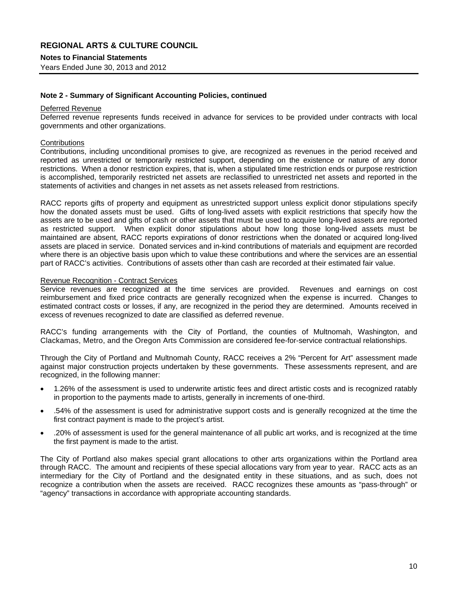#### **Note 2 - Summary of Significant Accounting Policies, continued**

#### Deferred Revenue

Deferred revenue represents funds received in advance for services to be provided under contracts with local governments and other organizations.

#### **Contributions**

Contributions, including unconditional promises to give, are recognized as revenues in the period received and reported as unrestricted or temporarily restricted support, depending on the existence or nature of any donor restrictions. When a donor restriction expires, that is, when a stipulated time restriction ends or purpose restriction is accomplished, temporarily restricted net assets are reclassified to unrestricted net assets and reported in the statements of activities and changes in net assets as net assets released from restrictions.

RACC reports gifts of property and equipment as unrestricted support unless explicit donor stipulations specify how the donated assets must be used. Gifts of long-lived assets with explicit restrictions that specify how the assets are to be used and gifts of cash or other assets that must be used to acquire long-lived assets are reported as restricted support. When explicit donor stipulations about how long those long-lived assets must be maintained are absent, RACC reports expirations of donor restrictions when the donated or acquired long-lived assets are placed in service. Donated services and in-kind contributions of materials and equipment are recorded where there is an objective basis upon which to value these contributions and where the services are an essential part of RACC's activities. Contributions of assets other than cash are recorded at their estimated fair value.

#### Revenue Recognition - Contract Services

Service revenues are recognized at the time services are provided. Revenues and earnings on cost reimbursement and fixed price contracts are generally recognized when the expense is incurred. Changes to estimated contract costs or losses, if any, are recognized in the period they are determined. Amounts received in excess of revenues recognized to date are classified as deferred revenue.

RACC's funding arrangements with the City of Portland, the counties of Multnomah, Washington, and Clackamas, Metro, and the Oregon Arts Commission are considered fee-for-service contractual relationships.

Through the City of Portland and Multnomah County, RACC receives a 2% "Percent for Art" assessment made against major construction projects undertaken by these governments. These assessments represent, and are recognized, in the following manner:

- 1.26% of the assessment is used to underwrite artistic fees and direct artistic costs and is recognized ratably in proportion to the payments made to artists, generally in increments of one-third.
- .54% of the assessment is used for administrative support costs and is generally recognized at the time the first contract payment is made to the project's artist.
- .20% of assessment is used for the general maintenance of all public art works, and is recognized at the time the first payment is made to the artist.

The City of Portland also makes special grant allocations to other arts organizations within the Portland area through RACC. The amount and recipients of these special allocations vary from year to year. RACC acts as an intermediary for the City of Portland and the designated entity in these situations, and as such, does not recognize a contribution when the assets are received. RACC recognizes these amounts as "pass-through" or "agency" transactions in accordance with appropriate accounting standards.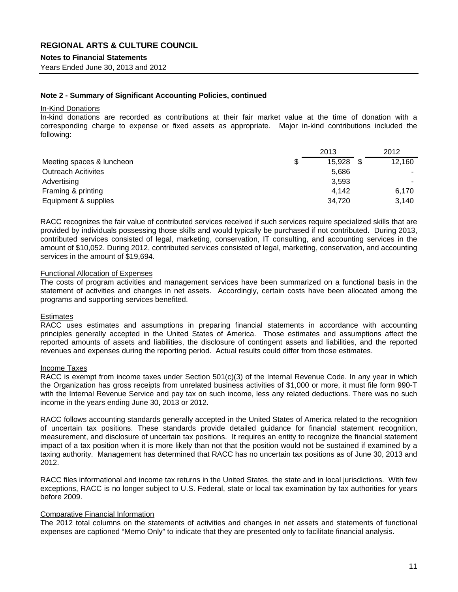#### **Note 2 - Summary of Significant Accounting Policies, continued**

#### In-Kind Donations

In-kind donations are recorded as contributions at their fair market value at the time of donation with a corresponding charge to expense or fixed assets as appropriate. Major in-kind contributions included the following:

|                            |   | 2013   | 2012   |
|----------------------------|---|--------|--------|
| Meeting spaces & luncheon  | S | 15,928 | 12,160 |
| <b>Outreach Acitivites</b> |   | 5.686  |        |
| Advertising                |   | 3,593  |        |
| Framing & printing         |   | 4.142  | 6.170  |
| Equipment & supplies       |   | 34,720 | 3,140  |

RACC recognizes the fair value of contributed services received if such services require specialized skills that are provided by individuals possessing those skills and would typically be purchased if not contributed. During 2013, contributed services consisted of legal, marketing, conservation, IT consulting, and accounting services in the amount of \$10,052. During 2012, contributed services consisted of legal, marketing, conservation, and accounting services in the amount of \$19,694.

#### Functional Allocation of Expenses

The costs of program activities and management services have been summarized on a functional basis in the statement of activities and changes in net assets. Accordingly, certain costs have been allocated among the programs and supporting services benefited.

#### **Estimates**

RACC uses estimates and assumptions in preparing financial statements in accordance with accounting principles generally accepted in the United States of America. Those estimates and assumptions affect the reported amounts of assets and liabilities, the disclosure of contingent assets and liabilities, and the reported revenues and expenses during the reporting period. Actual results could differ from those estimates.

#### Income Taxes

RACC is exempt from income taxes under Section 501(c)(3) of the Internal Revenue Code. In any year in which the Organization has gross receipts from unrelated business activities of \$1,000 or more, it must file form 990-T with the Internal Revenue Service and pay tax on such income, less any related deductions. There was no such income in the years ending June 30, 2013 or 2012.

RACC follows accounting standards generally accepted in the United States of America related to the recognition of uncertain tax positions. These standards provide detailed guidance for financial statement recognition, measurement, and disclosure of uncertain tax positions. It requires an entity to recognize the financial statement impact of a tax position when it is more likely than not that the position would not be sustained if examined by a taxing authority. Management has determined that RACC has no uncertain tax positions as of June 30, 2013 and 2012.

RACC files informational and income tax returns in the United States, the state and in local jurisdictions. With few exceptions, RACC is no longer subject to U.S. Federal, state or local tax examination by tax authorities for years before 2009.

#### Comparative Financial Information

The 2012 total columns on the statements of activities and changes in net assets and statements of functional expenses are captioned "Memo Only" to indicate that they are presented only to facilitate financial analysis.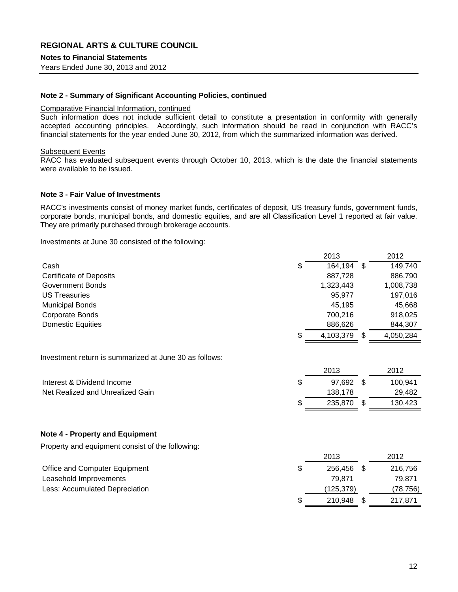#### **Notes to Financial Statements**

Years Ended June 30, 2013 and 2012

### **Note 2 - Summary of Significant Accounting Policies, continued**

#### Comparative Financial Information, continued

Such information does not include sufficient detail to constitute a presentation in conformity with generally accepted accounting principles. Accordingly, such information should be read in conjunction with RACC's financial statements for the year ended June 30, 2012, from which the summarized information was derived.

#### Subsequent Events

RACC has evaluated subsequent events through October 10, 2013, which is the date the financial statements were available to be issued.

#### **Note 3 - Fair Value of Investments**

RACC's investments consist of money market funds, certificates of deposit, US treasury funds, government funds, corporate bonds, municipal bonds, and domestic equities, and are all Classification Level 1 reported at fair value. They are primarily purchased through brokerage accounts.

Investments at June 30 consisted of the following:

|                                | 2013      | 2012          |
|--------------------------------|-----------|---------------|
| \$<br>Cash                     | 164,194   | \$<br>149,740 |
| <b>Certificate of Deposits</b> | 887,728   | 886,790       |
| <b>Government Bonds</b>        | 1,323,443 | 1,008,738     |
| US Treasuries                  | 95.977    | 197,016       |
| <b>Municipal Bonds</b>         | 45.195    | 45,668        |
| Corporate Bonds                | 700,216   | 918,025       |
| <b>Domestic Equities</b>       | 886,626   | 844,307       |
| \$                             | 4,103,379 | 4,050,284     |

Investment return is summarized at June 30 as follows:

|         |      | 2012    |
|---------|------|---------|
| 97.692  |      | 100.941 |
| 138.178 |      | 29,482  |
| 235.870 |      | 130.423 |
|         | 2013 |         |

#### **Note 4 - Property and Equipment**

Property and equipment consist of the following:

|                                |     | 2013      | 2012      |
|--------------------------------|-----|-----------|-----------|
| Office and Computer Equipment  | \$. | 256.456   | 216,756   |
| Leasehold Improvements         |     | 79.871    | 79.871    |
| Less: Accumulated Depreciation |     | (125,379) | (78, 756) |
|                                | S   | 210.948   | 217,871   |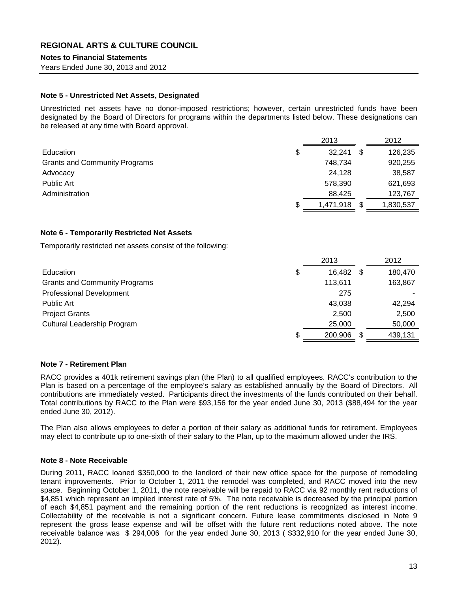#### **Notes to Financial Statements**

Years Ended June 30, 2013 and 2012

#### **Note 5 - Unrestricted Net Assets, Designated**

Unrestricted net assets have no donor-imposed restrictions; however, certain unrestricted funds have been designated by the Board of Directors for programs within the departments listed below. These designations can be released at any time with Board approval.

|                               |     | 2013      |    | 2012      |
|-------------------------------|-----|-----------|----|-----------|
| Education                     | \$  | 32,241    | \$ | 126,235   |
| Grants and Community Programs |     | 748,734   |    | 920,255   |
| Advocacy                      |     | 24,128    |    | 38,587    |
| Public Art                    |     | 578,390   |    | 621,693   |
| Administration                |     | 88.425    |    | 123,767   |
|                               | \$. | 1,471,918 | S  | 1,830,537 |

#### **Note 6 - Temporarily Restricted Net Assets**

Temporarily restricted net assets consist of the following:

|                                      | 2013    |   | 2012    |
|--------------------------------------|---------|---|---------|
| \$<br>Education                      | 16.482  | S | 180,470 |
| <b>Grants and Community Programs</b> | 113,611 |   | 163,867 |
| <b>Professional Development</b>      | 275     |   |         |
| Public Art                           | 43,038  |   | 42,294  |
| <b>Project Grants</b>                | 2,500   |   | 2,500   |
| Cultural Leadership Program          | 25,000  |   | 50,000  |
| \$                                   | 200,906 | S | 439,131 |

#### **Note 7 - Retirement Plan**

RACC provides a 401k retirement savings plan (the Plan) to all qualified employees. RACC's contribution to the Plan is based on a percentage of the employee's salary as established annually by the Board of Directors. All contributions are immediately vested. Participants direct the investments of the funds contributed on their behalf. Total contributions by RACC to the Plan were \$93,156 for the year ended June 30, 2013 (\$88,494 for the year ended June 30, 2012).

The Plan also allows employees to defer a portion of their salary as additional funds for retirement. Employees may elect to contribute up to one-sixth of their salary to the Plan, up to the maximum allowed under the IRS.

#### **Note 8 - Note Receivable**

During 2011, RACC loaned \$350,000 to the landlord of their new office space for the purpose of remodeling tenant improvements. Prior to October 1, 2011 the remodel was completed, and RACC moved into the new space. Beginning October 1, 2011, the note receivable will be repaid to RACC via 92 monthly rent reductions of \$4,851 which represent an implied interest rate of 5%. The note receivable is decreased by the principal portion of each \$4,851 payment and the remaining portion of the rent reductions is recognized as interest income. Collectability of the receivable is not a significant concern. Future lease commitments disclosed in Note 9 represent the gross lease expense and will be offset with the future rent reductions noted above. The note receivable balance was \$ 294,006 for the year ended June 30, 2013 ( \$332,910 for the year ended June 30, 2012).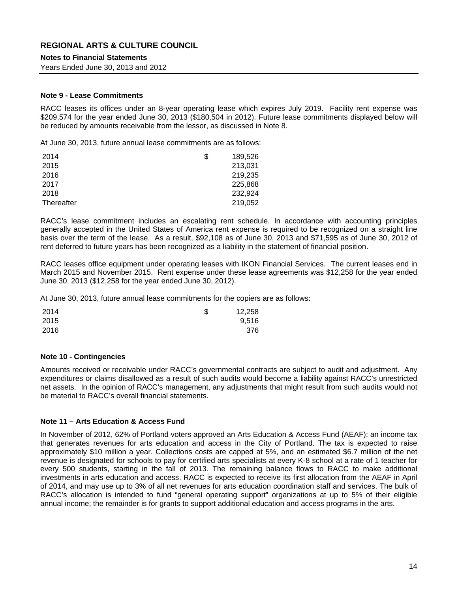#### **Notes to Financial Statements**

Years Ended June 30, 2013 and 2012

#### **Note 9 - Lease Commitments**

RACC leases its offices under an 8-year operating lease which expires July 2019. Facility rent expense was \$209,574 for the year ended June 30, 2013 (\$180,504 in 2012). Future lease commitments displayed below will be reduced by amounts receivable from the lessor, as discussed in Note 8.

At June 30, 2013, future annual lease commitments are as follows:

| 2014       | \$<br>189,526 |
|------------|---------------|
| 2015       | 213,031       |
| 2016       | 219,235       |
| 2017       | 225,868       |
| 2018       | 232,924       |
| Thereafter | 219,052       |

RACC's lease commitment includes an escalating rent schedule. In accordance with accounting principles generally accepted in the United States of America rent expense is required to be recognized on a straight line basis over the term of the lease. As a result, \$92,108 as of June 30, 2013 and \$71,595 as of June 30, 2012 of rent deferred to future years has been recognized as a liability in the statement of financial position.

RACC leases office equipment under operating leases with IKON Financial Services. The current leases end in March 2015 and November 2015. Rent expense under these lease agreements was \$12,258 for the year ended June 30, 2013 (\$12,258 for the year ended June 30, 2012).

At June 30, 2013, future annual lease commitments for the copiers are as follows:

| 2014 | \$<br>12,258 |
|------|--------------|
| 2015 | 9,516        |
| 2016 | 376          |

#### **Note 10 - Contingencies**

Amounts received or receivable under RACC's governmental contracts are subject to audit and adjustment. Any expenditures or claims disallowed as a result of such audits would become a liability against RACC's unrestricted net assets. In the opinion of RACC's management, any adjustments that might result from such audits would not be material to RACC's overall financial statements.

#### **Note 11 – Arts Education & Access Fund**

In November of 2012, 62% of Portland voters approved an Arts Education & Access Fund (AEAF); an income tax that generates revenues for arts education and access in the City of Portland. The tax is expected to raise approximately \$10 million a year. Collections costs are capped at 5%, and an estimated \$6.7 million of the net revenue is designated for schools to pay for certified arts specialists at every K-8 school at a rate of 1 teacher for every 500 students, starting in the fall of 2013. The remaining balance flows to RACC to make additional investments in arts education and access. RACC is expected to receive its first allocation from the AEAF in April of 2014, and may use up to 3% of all net revenues for arts education coordination staff and services. The bulk of RACC's allocation is intended to fund "general operating support" organizations at up to 5% of their eligible annual income; the remainder is for grants to support additional education and access programs in the arts.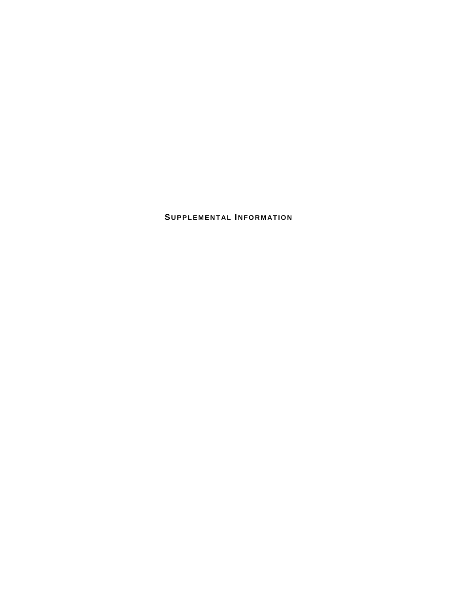**SUPPLEMENTAL INFORMATION**